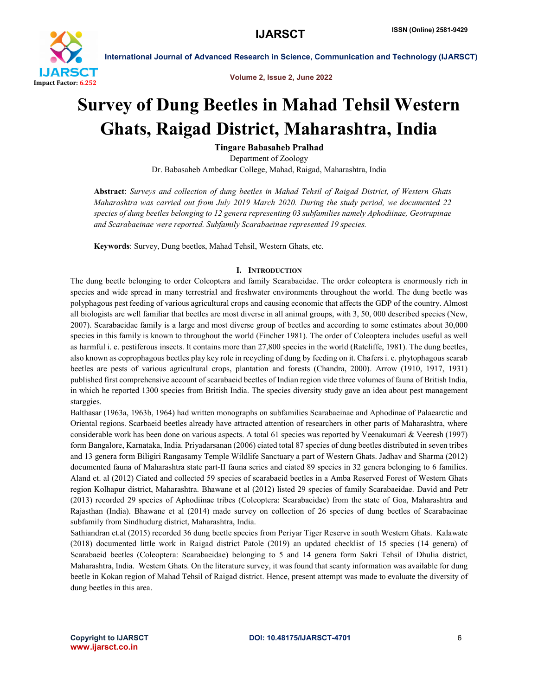

Volume 2, Issue 2, June 2022

# Survey of Dung Beetles in Mahad Tehsil Western Ghats, Raigad District, Maharashtra, India

Tingare Babasaheb Pralhad

Department of Zoology Dr. Babasaheb Ambedkar College, Mahad, Raigad, Maharashtra, India

Abstract: *Surveys and collection of dung beetles in Mahad Tehsil of Raigad District, of Western Ghats Maharashtra was carried out from July 2019 March 2020. During the study period, we documented 22 species of dung beetles belonging to 12 genera representing 03 subfamilies namely Aphodiinae, Geotrupinae and Scarabaeinae were reported. Subfamily Scarabaeinae represented 19 species.*

Keywords: Survey, Dung beetles, Mahad Tehsil, Western Ghats, etc.

## I. INTRODUCTION

The dung beetle belonging to order Coleoptera and family Scarabaeidae. The order coleoptera is enormously rich in species and wide spread in many terrestrial and freshwater environments throughout the world. The dung beetle was polyphagous pest feeding of various agricultural crops and causing economic that affects the GDP of the country. Almost all biologists are well familiar that beetles are most diverse in all animal groups, with 3, 50, 000 described species (New, 2007). Scarabaeidae family is a large and most diverse group of beetles and according to some estimates about 30,000 species in this family is known to throughout the world (Fincher 1981). The order of Coleoptera includes useful as well as harmful i. e. pestiferous insects. It contains more than 27,800 species in the world (Ratcliffe, 1981). The dung beetles, also known as coprophagous beetles play key role in recycling of dung by feeding on it. Chafers i. e. phytophagous scarab beetles are pests of various agricultural crops, plantation and forests (Chandra, 2000). Arrow (1910, 1917, 1931) published first comprehensive account of scarabaeid beetles of Indian region vide three volumes of fauna of British India, in which he reported 1300 species from British India. The species diversity study gave an idea about pest management starggies.

Balthasar (1963a, 1963b, 1964) had written monographs on subfamilies Scarabaeinae and Aphodinae of Palaearctic and Oriental regions. Scarbaeid beetles already have attracted attention of researchers in other parts of Maharashtra, where considerable work has been done on various aspects. A total 61 species was reported by Veenakumari & Veeresh (1997) form Bangalore, Karnataka, India. Priyadarsanan (2006) ciated total 87 species of dung beetles distributed in seven tribes and 13 genera form Biligiri Rangasamy Temple Wildlife Sanctuary a part of Western Ghats. Jadhav and Sharma (2012) documented fauna of Maharashtra state part-II fauna series and ciated 89 species in 32 genera belonging to 6 families. Aland et. al (2012) Ciated and collected 59 species of scarabaeid beetles in a Amba Reserved Forest of Western Ghats region Kolhapur district, Maharashtra. Bhawane et al (2012) listed 29 species of family Scarabaeidae. David and Petr (2013) recorded 29 species of Aphodiinae tribes (Coleoptera: Scarabaeidae) from the state of Goa, Maharashtra and Rajasthan (India). Bhawane et al (2014) made survey on collection of 26 species of dung beetles of Scarabaeinae subfamily from Sindhudurg district, Maharashtra, India.

Sathiandran et.al (2015) recorded 36 dung beetle species from Periyar Tiger Reserve in south Western Ghats. Kalawate (2018) documented little work in Raigad district Patole (2019) an updated checklist of 15 species (14 genera) of Scarabaeid beetles (Coleoptera: Scarabaeidae) belonging to 5 and 14 genera form Sakri Tehsil of Dhulia district, Maharashtra, India. Western Ghats. On the literature survey, it was found that scanty information was available for dung beetle in Kokan region of Mahad Tehsil of Raigad district. Hence, present attempt was made to evaluate the diversity of dung beetles in this area.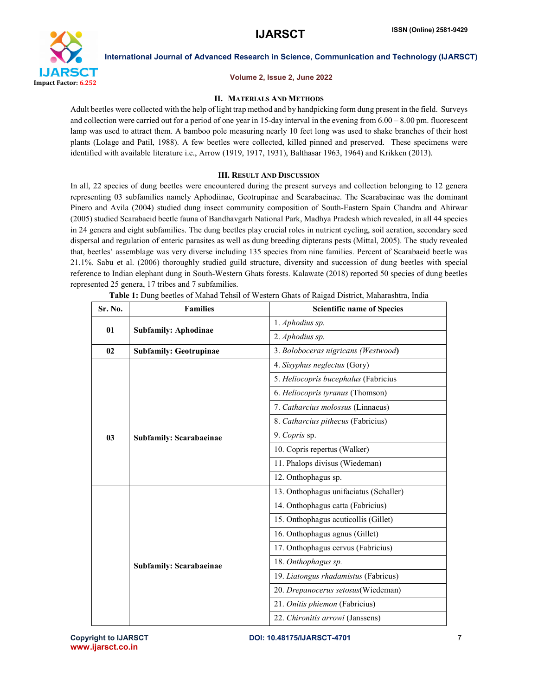

### Volume 2, Issue 2, June 2022

# II. MATERIALS AND METHODS

Adult beetles were collected with the help of light trap method and by handpicking form dung present in the field. Surveys and collection were carried out for a period of one year in 15-day interval in the evening from 6.00 – 8.00 pm. fluorescent lamp was used to attract them. A bamboo pole measuring nearly 10 feet long was used to shake branches of their host plants (Lolage and Patil, 1988). A few beetles were collected, killed pinned and preserved. These specimens were identified with available literature i.e., Arrow (1919, 1917, 1931), Balthasar 1963, 1964) and Krikken (2013).

### III. RESULT AND DISCUSSION

In all, 22 species of dung beetles were encountered during the present surveys and collection belonging to 12 genera representing 03 subfamilies namely Aphodiinae, Geotrupinae and Scarabaeinae. The Scarabaeinae was the dominant Pinero and Avila (2004) studied dung insect community composition of South-Eastern Spain Chandra and Ahirwar (2005) studied Scarabaeid beetle fauna of Bandhavgarh National Park, Madhya Pradesh which revealed, in all 44 species in 24 genera and eight subfamilies. The dung beetles play crucial roles in nutrient cycling, soil aeration, secondary seed dispersal and regulation of enteric parasites as well as dung breeding dipterans pests (Mittal, 2005). The study revealed that, beetles' assemblage was very diverse including 135 species from nine families. Percent of Scarabaeid beetle was 21.1%. Sabu et al. (2006) thoroughly studied guild structure, diversity and succession of dung beetles with special reference to Indian elephant dung in South-Western Ghats forests. Kalawate (2018) reported 50 species of dung beetles represented 25 genera, 17 tribes and 7 subfamilies.

| Sr. No.        | <b>Families</b>                | <b>Scientific name of Species</b>      |
|----------------|--------------------------------|----------------------------------------|
| 01             | <b>Subfamily: Aphodinae</b>    | 1. Aphodius sp.                        |
|                |                                | 2. Aphodius sp.                        |
| 02             | <b>Subfamily: Geotrupinae</b>  | 3. Boloboceras nigricans (Westwood)    |
|                |                                | 4. Sisyphus neglectus (Gory)           |
|                |                                | 5. Heliocopris bucephalus (Fabricius   |
|                |                                | 6. Heliocopris tyranus (Thomson)       |
| 0 <sub>3</sub> | <b>Subfamily: Scarabaeinae</b> | 7. Catharcius molossus (Linnaeus)      |
|                |                                | 8. Catharcius pithecus (Fabricius)     |
|                |                                | 9. Copris sp.                          |
|                |                                | 10. Copris repertus (Walker)           |
|                |                                | 11. Phalops divisus (Wiedeman)         |
|                |                                | 12. Onthophagus sp.                    |
|                | <b>Subfamily: Scarabaeinae</b> | 13. Onthophagus unifaciatus (Schaller) |
|                |                                | 14. Onthophagus catta (Fabricius)      |
|                |                                | 15. Onthophagus acuticollis (Gillet)   |
|                |                                | 16. Onthophagus agnus (Gillet)         |
|                |                                | 17. Onthophagus cervus (Fabricius)     |
|                |                                | 18. Onthophagus sp.                    |
|                |                                | 19. Liatongus rhadamistus (Fabricus)   |
|                |                                | 20. Drepanocerus setosus(Wiedeman)     |
|                |                                | 21. Onitis phiemon (Fabricius)         |
|                |                                | 22. Chironitis arrowi (Janssens)       |

Table 1: Dung beetles of Mahad Tehsil of Western Ghats of Raigad District, Maharashtra, India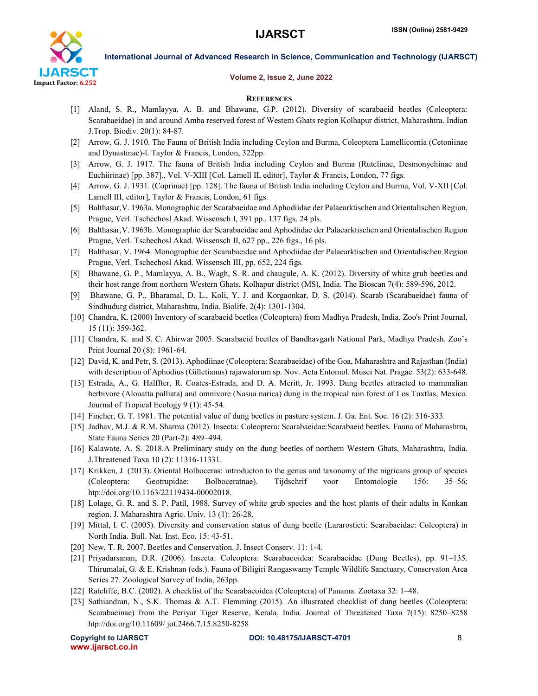

#### Volume 2, Issue 2, June 2022

#### **REFERENCES**

- [1] Aland, S. R., Mamlayya, A. B. and Bhawane, G.P. (2012). Diversity of scarabaeid beetles (Coleoptera: Scarabaeidae) in and around Amba reserved forest of Western Ghats region Kolhapur district, Maharashtra. Indian J.Trop. Biodiv. 20(1): 84-87.
- [2] Arrow, G. J. 1910. The Fauna of British India including Ceylon and Burma, Coleoptera Lamellicornia (Cetoniinae and Dynastinae)-l. Taylor & Francis, London, 322pp.
- [3] Arrow, G. J. 1917. The fauna of British India including Ceylon and Burma (Rutelinae, Desmonychinae and Euchiirinae) [pp. 387]., Vol. V-XIII [Col. Lamell II, editor], Taylor & Francis, London, 77 figs.
- [4] Arrow, G. J. 1931. (Coprinae) [pp. 128]. The fauna of British India including Ceylon and Burma, Vol. V-XII [Col. Lamell III, editor], Taylor & Francis, London, 61 figs.
- [5] Balthasar,V. 1963a. Monographic der Scarabaeidae and Aphodiidae der Palaearktischen and Orientalischen Region, Prague, Verl. Tschechosl Akad. Wissensch I, 391 pp., 137 figs. 24 pls.
- [6] Balthasar,V. 1963b. Monographie der Scarabaeidae and Aphodiidae der Palaearktischen and Orientalischen Region Prague, Verl. Tschechosl Akad. Wissensch II, 627 pp., 226 figs., 16 pls.
- [7] Balthasar, V. 1964. Monographie der Scarabaeidae and Aphodiidae der Palaearktischen and Orientalischen Region Prague, Verl. Tschechosl Akad. Wissensch III, pp. 652, 224 figs.
- [8] Bhawane, G. P., Mamlayya, A. B., Wagh, S. R. and chaugule, A. K. (2012). Diversity of white grub beetles and their host range from northern Western Ghats, Kolhapur district (MS), India. The Bioscan 7(4): 589-596, 2012.
- [9] Bhawane, G. P., Bharamal, D. L., Koli, Y. J. and Korgaonkar, D. S. (2014). Scarab (Scarabaeidae) fauna of Sindhudurg district, Maharashtra, India. Biolife. 2(4): 1301-1304.
- [10] Chandra, K. (2000) Inventory of scarabaeid beetles (Coleoptera) from Madhya Pradesh, India. Zoo's Print Journal, 15 (11): 359-362.
- [11] Chandra, K. and S. C. Ahirwar 2005. Scarabaeid beetles of Bandhavgarh National Park, Madhya Pradesh. Zoo's Print Journal 20 (8): 1961-64.
- [12] David, K. and Petr, S. (2013). Aphodiinae (Coleoptera: Scarabaeidae) of the Goa, Maharashtra and Rajasthan (India) with description of Aphodius (Gilletianus) rajawatorum sp. Nov. Acta Entomol. Musei Nat. Pragae. 53(2): 633-648.
- [13] Estrada, A., G. Halffter, R. Coates-Estrada, and D. A. Meritt, Jr. 1993. Dung beetles attracted to mammalian herbivore (Alouatta palliata) and omnivore (Nasua narica) dung in the tropical rain forest of Los Tuxtlas, Mexico. Journal of Tropical Ecology 9 (1): 45-54.
- [14] Fincher, G. T. 1981. The potential value of dung beetles in pasture system. J. Ga. Ent. Soc. 16 (2): 316-333.
- [15] Jadhav, M.J. & R.M. Sharma (2012). Insecta: Coleoptera: Scarabaeidae:Scarabaeid beetles. Fauna of Maharashtra, State Fauna Series 20 (Part-2): 489–494.
- [16] Kalawate, A. S. 2018.A Preliminary study on the dung beetles of northern Western Ghats, Maharashtra, India. J.Threatened Taxa 10 (2): 11316-11331.
- [17] Krikken, J. (2013). Oriental Bolboceras: introducton to the genus and taxonomy of the nigricans group of species (Coleoptera: Geotrupidae: Bolboceratnae). Tijdschrif voor Entomologie 156: 35–56; htp://doi.org/10.1163/22119434-00002018.
- [18] Lolage, G. R. and S. P. Patil, 1988. Survey of white grub species and the host plants of their adults in Konkan region. J. Maharashtra Agric. Univ. 13 (1): 26-28.
- [19] Mittal, I. C. (2005). Diversity and conservation status of dung beetle (Lararosticti: Scarabaeidae: Coleoptera) in North India. Bull. Nat. Inst. Eco. 15: 43-51.
- [20] New, T. R. 2007. Beetles and Conservation. J. Insect Conserv. 11: 1-4.
- [21] Priyadarsanan, D.R. (2006). Insecta: Coleoptera: Scarabaeoidea: Scarabaeidae (Dung Beetles), pp. 91–135. Thirumalai, G. & E. Krishnan (eds.). Fauna of Biligiri Rangaswamy Temple Wildlife Sanctuary, Conservaton Area Series 27. Zoological Survey of India, 263pp.
- [22] Ratcliffe, B.C. (2002). A checklist of the Scarabaeoidea (Coleoptera) of Panama. Zootaxa 32: 1–48.
- [23] Sathiandran, N., S.K. Thomas & A.T. Flemming (2015). An illustrated checklist of dung beetles (Coleoptera: Scarabaeinae) from the Periyar Tiger Reserve, Kerala, India. Journal of Threatened Taxa 7(15): 8250–8258 htp://doi.org/10.11609/ jot.2466.7.15.8250-8258